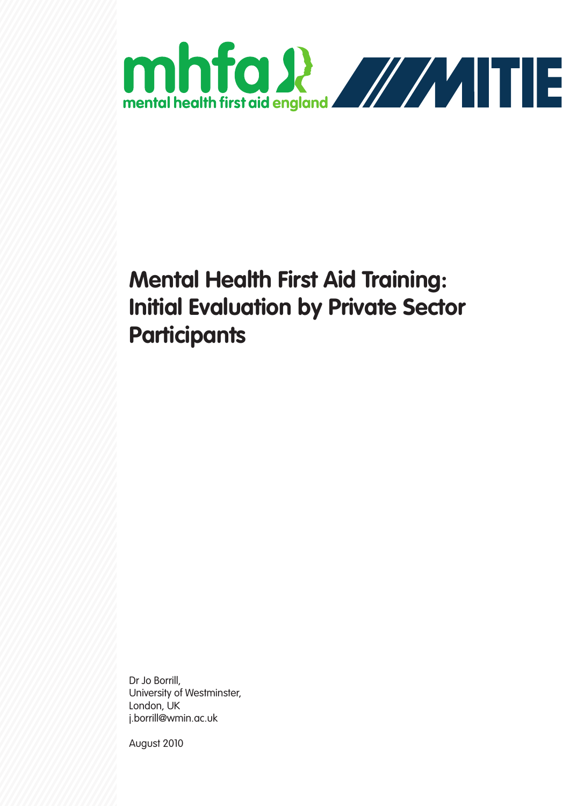

# **Mental Health First Aid Training: Initial Evaluation by Private Sector Participants**

Dr Jo Borrill, University of Westminster, London, UK j.borrill@wmin.ac.uk

August 2010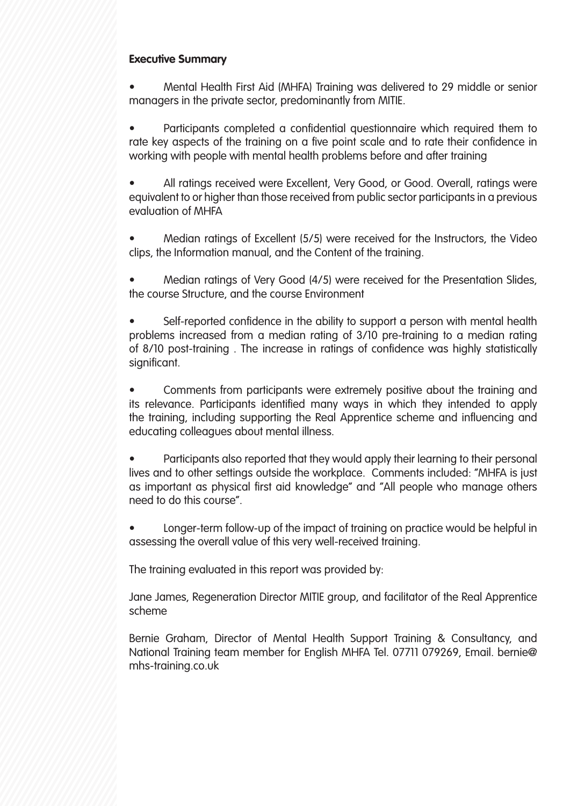# **Executive Summary**

• Mental Health First Aid (MHFA) Training was delivered to 29 middle or senior managers in the private sector, predominantly from MITIE.

• Participants completed a confidential questionnaire which required them to rate key aspects of the training on a five point scale and to rate their confidence in working with people with mental health problems before and after training

• All ratings received were Excellent, Very Good, or Good. Overall, ratings were equivalent to or higher than those received from public sector participants in a previous evaluation of MHFA

• Median ratings of Excellent (5/5) were received for the Instructors, the Video clips, the Information manual, and the Content of the training.

• Median ratings of Very Good (4/5) were received for the Presentation Slides, the course Structure, and the course Environment

Self-reported confidence in the ability to support a person with mental health problems increased from a median rating of 3/10 pre-training to a median rating of 8/10 post-training . The increase in ratings of confidence was highly statistically significant.

• Comments from participants were extremely positive about the training and its relevance. Participants identified many ways in which they intended to apply the training, including supporting the Real Apprentice scheme and influencing and educating colleagues about mental illness.

• Participants also reported that they would apply their learning to their personal lives and to other settings outside the workplace. Comments included: "MHFA is just as important as physical first aid knowledge" and "All people who manage others need to do this course".

• Longer-term follow-up of the impact of training on practice would be helpful in assessing the overall value of this very well-received training.

The training evaluated in this report was provided by:

Jane James, Regeneration Director MITIE group, and facilitator of the Real Apprentice scheme

Bernie Graham, Director of Mental Health Support Training & Consultancy, and National Training team member for English MHFA Tel. 07711 079269, Email. bernie@ mhs-training.co.uk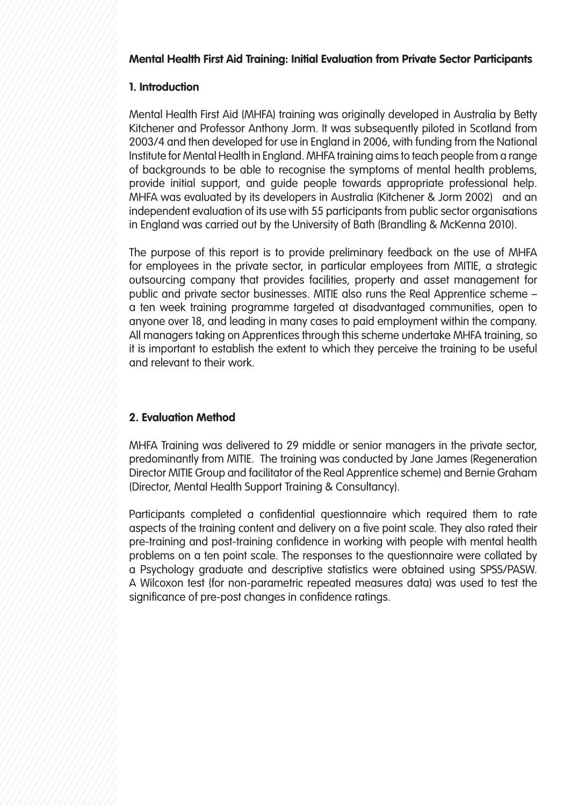## **Mental Health First Aid Training: Initial Evaluation from Private Sector Participants**

## **1. Introduction**

Mental Health First Aid (MHFA) training was originally developed in Australia by Betty Kitchener and Professor Anthony Jorm. It was subsequently piloted in Scotland from 2003/4 and then developed for use in England in 2006, with funding from the National Institute for Mental Health in England. MHFA training aims to teach people from a range of backgrounds to be able to recognise the symptoms of mental health problems, provide initial support, and guide people towards appropriate professional help. MHFA was evaluated by its developers in Australia (Kitchener & Jorm 2002) and an independent evaluation of its use with 55 participants from public sector organisations in England was carried out by the University of Bath (Brandling & McKenna 2010).

The purpose of this report is to provide preliminary feedback on the use of MHFA for employees in the private sector, in particular employees from MITIE, a strategic outsourcing company that provides facilities, property and asset management for public and private sector businesses. MITIE also runs the Real Apprentice scheme – a ten week training programme targeted at disadvantaged communities, open to anyone over 18, and leading in many cases to paid employment within the company. All managers taking on Apprentices through this scheme undertake MHFA training, so it is important to establish the extent to which they perceive the training to be useful and relevant to their work.

# **2. Evaluation Method**

MHFA Training was delivered to 29 middle or senior managers in the private sector, predominantly from MITIE. The training was conducted by Jane James (Regeneration Director MITIE Group and facilitator of the Real Apprentice scheme) and Bernie Graham (Director, Mental Health Support Training & Consultancy).

Participants completed a confidential questionnaire which required them to rate aspects of the training content and delivery on a five point scale. They also rated their pre-training and post-training confidence in working with people with mental health problems on a ten point scale. The responses to the questionnaire were collated by a Psychology graduate and descriptive statistics were obtained using SPSS/PASW. A Wilcoxon test (for non-parametric repeated measures data) was used to test the significance of pre-post changes in confidence ratings.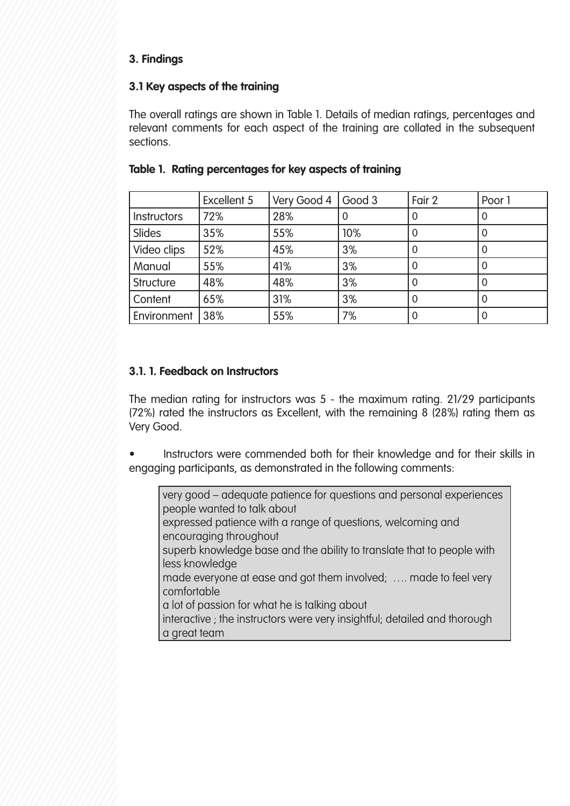## **3. Findings**

## **3.1 Key aspects of the training**

The overall ratings are shown in Table 1. Details of median ratings, percentages and relevant comments for each aspect of the training are collated in the subsequent sections.

|                           | <b>Excellent 5</b> | Very Good 4 | $\bigcup$ Good 3 | Fair 2 | Poor 1 |  |
|---------------------------|--------------------|-------------|------------------|--------|--------|--|
| Instructors               | 72%                | 28%         | O                | 0      | 0      |  |
| <b>Slides</b>             | 35%                | 55%         | 10%              |        | 0      |  |
| Video clips               | 52%                | 45%         | 3%               |        | 0      |  |
| Manual                    | 55%                | 41%         | 3%               |        | 0      |  |
| <b>Structure</b>          | 48%                | 48%         | 3%               | 0      | 0      |  |
| Content                   | 31%<br>65%         |             | 3%               |        | 0      |  |
| 38%<br><b>Environment</b> |                    | 55%         | 7%               |        | 0      |  |

## **Table 1. Rating percentages for key aspects of training**

# **3.1. 1. Feedback on Instructors**

The median rating for instructors was 5 - the maximum rating. 21/29 participants (72%) rated the instructors as Excellent, with the remaining 8 (28%) rating them as Very Good.

• Instructors were commended both for their knowledge and for their skills in engaging participants, as demonstrated in the following comments:

very good – adequate patience for questions and personal experiences people wanted to talk about expressed patience with a range of questions, welcoming and encouraging throughout superb knowledge base and the ability to translate that to people with less knowledge made everyone at ease and got them involved; …. made to feel very comfortable a lot of passion for what he is talking about interactive ; the instructors were very insightful; detailed and thorough a great team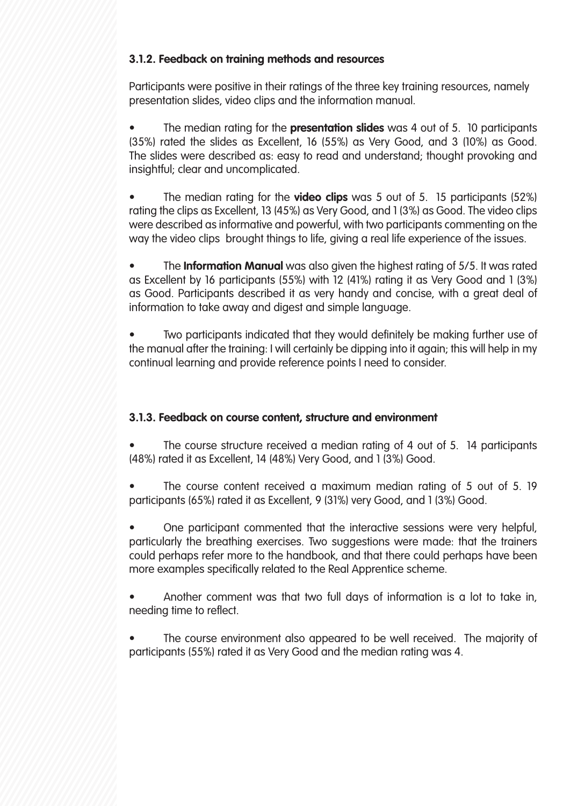# **3.1.2. Feedback on training methods and resources**

Participants were positive in their ratings of the three key training resources, namely presentation slides, video clips and the information manual.

• The median rating for the **presentation slides** was 4 out of 5. 10 participants (35%) rated the slides as Excellent, 16 (55%) as Very Good, and 3 (10%) as Good. The slides were described as: easy to read and understand; thought provoking and insightful; clear and uncomplicated.

• The median rating for the **video clips** was 5 out of 5. 15 participants (52%) rating the clips as Excellent, 13 (45%) as Very Good, and 1 (3%) as Good. The video clips were described as informative and powerful, with two participants commenting on the way the video clips brought things to life, giving a real life experience of the issues.

• The **Information Manual** was also given the highest rating of 5/5. It was rated as Excellent by 16 participants (55%) with 12 (41%) rating it as Very Good and 1 (3%) as Good. Participants described it as very handy and concise, with a great deal of information to take away and digest and simple language.

Two participants indicated that they would definitely be making further use of the manual after the training: I will certainly be dipping into it again; this will help in my continual learning and provide reference points I need to consider.

# **3.1.3. Feedback on course content, structure and environment**

The course structure received a median rating of 4 out of 5. 14 participants (48%) rated it as Excellent, 14 (48%) Very Good, and 1 (3%) Good.

The course content received a maximum median rating of 5 out of 5.19 participants (65%) rated it as Excellent, 9 (31%) very Good, and 1 (3%) Good.

• One participant commented that the interactive sessions were very helpful, particularly the breathing exercises. Two suggestions were made: that the trainers could perhaps refer more to the handbook, and that there could perhaps have been more examples specifically related to the Real Apprentice scheme.

• Another comment was that two full days of information is a lot to take in, needing time to reflect.

The course environment also appeared to be well received. The majority of participants (55%) rated it as Very Good and the median rating was 4.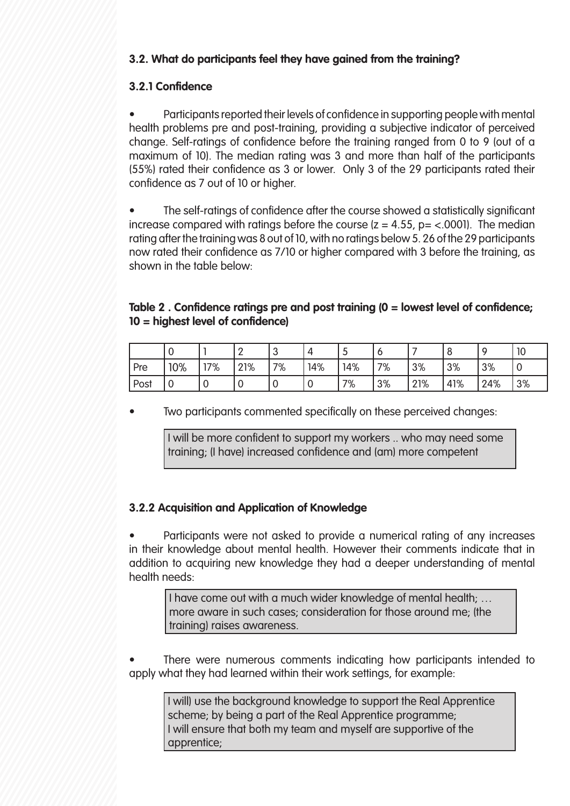# **3.2. What do participants feel they have gained from the training?**

# **3.2.1 Confidence**

• Participants reported their levels of confidence in supporting people with mental health problems pre and post-training, providing a subjective indicator of perceived change. Self-ratings of confidence before the training ranged from 0 to 9 (out of a maximum of 10). The median rating was 3 and more than half of the participants (55%) rated their confidence as 3 or lower. Only 3 of the 29 participants rated their confidence as 7 out of 10 or higher.

The self-ratings of confidence after the course showed a statistically significant increase compared with ratings before the course  $(z = 4.55, p = < .0001)$ . The median rating after the training was 8 out of 10, with no ratings below 5. 26 of the 29 participants now rated their confidence as 7/10 or higher compared with 3 before the training, as shown in the table below:

## **Table 2 . Confidence ratings pre and post training (0 = lowest level of confidence; 10 = highest level of confidence)**

|      |     |     | -   | ⌒<br>ັ | Δ   | J   | <b>C</b> |     |     |     | 10 |
|------|-----|-----|-----|--------|-----|-----|----------|-----|-----|-----|----|
| Pre  | 10% | 17% | 21% | 7%     | 14% | 14% | 7%       | 3%  | 3%  | 3%  | v  |
| Post |     |     | ັ   | v      | v   | 7%  | 3%       | 21% | 41% | 24% | 3% |

Two participants commented specifically on these perceived changes:

I will be more confident to support my workers .. who may need some training; (I have) increased confidence and (am) more competent

# **3.2.2 Acquisition and Application of Knowledge**

• Participants were not asked to provide a numerical rating of any increases in their knowledge about mental health. However their comments indicate that in addition to acquiring new knowledge they had a deeper understanding of mental health needs:

I have come out with a much wider knowledge of mental health; … more aware in such cases; consideration for those around me; (the training) raises awareness.

There were numerous comments indicating how participants intended to apply what they had learned within their work settings, for example:

I will) use the background knowledge to support the Real Apprentice scheme; by being a part of the Real Apprentice programme; I will ensure that both my team and myself are supportive of the apprentice;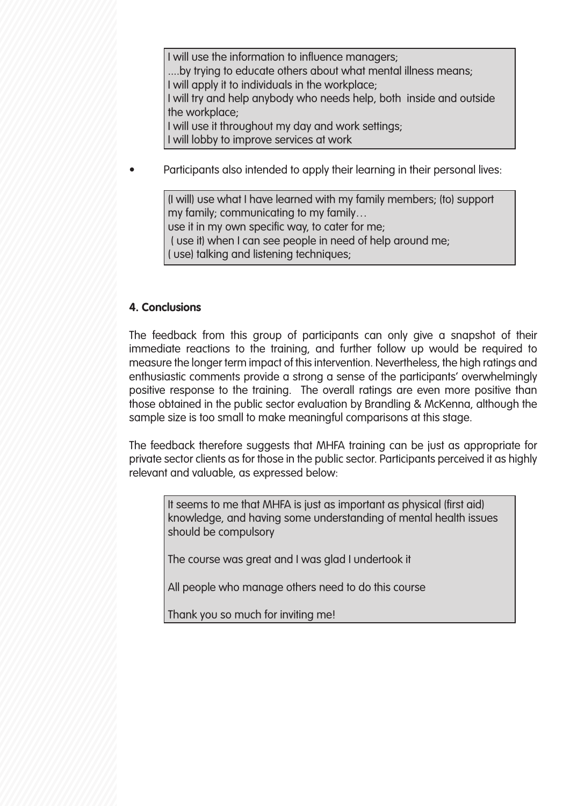I will use the information to influence managers; ....by trying to educate others about what mental illness means; I will apply it to individuals in the workplace; I will try and help anybody who needs help, both inside and outside the workplace; I will use it throughout my day and work settings; I will lobby to improve services at work

• Participants also intended to apply their learning in their personal lives:

(I will) use what I have learned with my family members; (to) support my family; communicating to my family… use it in my own specific way, to cater for me; ( use it) when I can see people in need of help around me; ( use) talking and listening techniques;

#### **4. Conclusions**

The feedback from this group of participants can only give a snapshot of their immediate reactions to the training, and further follow up would be required to measure the longer term impact of this intervention. Nevertheless, the high ratings and enthusiastic comments provide a strong a sense of the participants' overwhelmingly positive response to the training. The overall ratings are even more positive than those obtained in the public sector evaluation by Brandling & McKenna, although the sample size is too small to make meaningful comparisons at this stage.

The feedback therefore suggests that MHFA training can be just as appropriate for private sector clients as for those in the public sector. Participants perceived it as highly relevant and valuable, as expressed below:

It seems to me that MHFA is just as important as physical (first aid) knowledge, and having some understanding of mental health issues should be compulsory

The course was great and I was glad I undertook it

All people who manage others need to do this course

Thank you so much for inviting me!